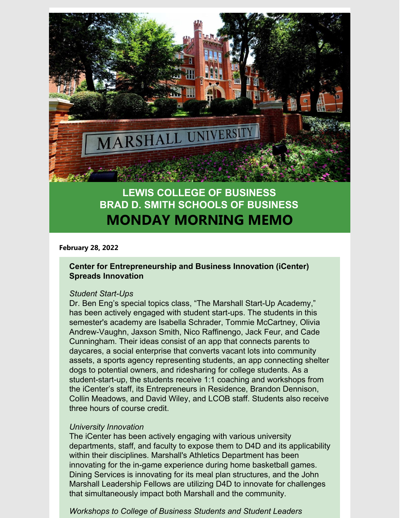

# **LEWIS COLLEGE OF BUSINESS BRAD D. SMITH SCHOOLS OF BUSINESS MONDAY MORNING MEMO**

**February 28, 2022**

#### **Center for Entrepreneurship and Business Innovation (iCenter) Spreads Innovation**

#### *Student Start-Ups*

Dr. Ben Eng's special topics class, "The Marshall Start-Up Academy," has been actively engaged with student start-ups. The students in this semester's academy are Isabella Schrader, Tommie McCartney, Olivia Andrew-Vaughn, Jaxson Smith, Nico Raffinengo, Jack Feur, and Cade Cunningham. Their ideas consist of an app that connects parents to daycares, a social enterprise that converts vacant lots into community assets, a sports agency representing students, an app connecting shelter dogs to potential owners, and ridesharing for college students. As a student-start-up, the students receive 1:1 coaching and workshops from the iCenter's staff, its Entrepreneurs in Residence, Brandon Dennison, Collin Meadows, and David Wiley, and LCOB staff. Students also receive three hours of course credit.

#### *University Innovation*

The iCenter has been actively engaging with various university departments, staff, and faculty to expose them to D4D and its applicability within their disciplines. Marshall's Athletics Department has been innovating for the in-game experience during home basketball games. Dining Services is innovating for its meal plan structures, and the John Marshall Leadership Fellows are utilizing D4D to innovate for challenges that simultaneously impact both Marshall and the community.

# *Workshops to College of Business Students and Student Leaders*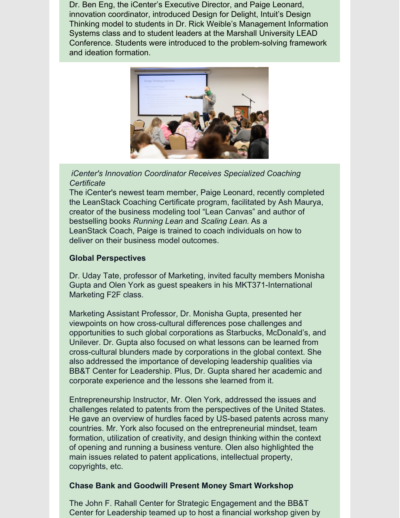Dr. Ben Eng, the iCenter's Executive Director, and Paige Leonard, innovation coordinator, introduced Design for Delight, Intuit's Design Thinking model to students in Dr. Rick Weible's Management Information Systems class and to student leaders at the Marshall University LEAD Conference. Students were introduced to the problem-solving framework and ideation formation.



# *iCenter's Innovation Coordinator Receives Specialized Coaching Certificate*

The iCenter's newest team member, Paige Leonard, recently completed the LeanStack Coaching Certificate program, facilitated by Ash Maurya, creator of the business modeling tool "Lean Canvas" and author of bestselling books *Running Lean* and *Scaling Lean.* As a LeanStack Coach, Paige is trained to coach individuals on how to deliver on their business model outcomes.

# **Global Perspectives**

Dr. Uday Tate, professor of Marketing, invited faculty members Monisha Gupta and Olen York as guest speakers in his MKT371-International Marketing F2F class.

Marketing Assistant Professor, Dr. Monisha Gupta, presented her viewpoints on how cross-cultural differences pose challenges and opportunities to such global corporations as Starbucks, McDonald's, and Unilever. Dr. Gupta also focused on what lessons can be learned from cross-cultural blunders made by corporations in the global context. She also addressed the importance of developing leadership qualities via BB&T Center for Leadership. Plus, Dr. Gupta shared her academic and corporate experience and the lessons she learned from it.

Entrepreneurship Instructor, Mr. Olen York, addressed the issues and challenges related to patents from the perspectives of the United States. He gave an overview of hurdles faced by US-based patents across many countries. Mr. York also focused on the entrepreneurial mindset, team formation, utilization of creativity, and design thinking within the context of opening and running a business venture. Olen also highlighted the main issues related to patent applications, intellectual property, copyrights, etc.

## **Chase Bank and Goodwill Present Money Smart Workshop**

The John F. Rahall Center for Strategic Engagement and the BB&T Center for Leadership teamed up to host a financial workshop given by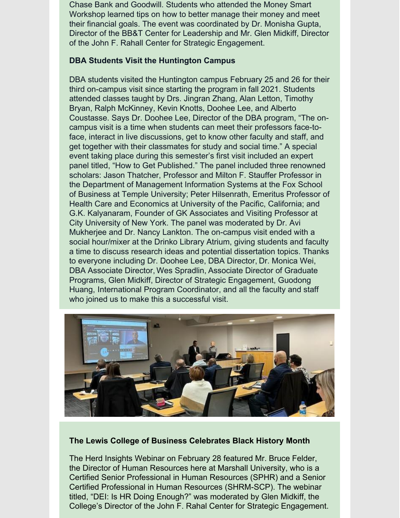Chase Bank and Goodwill. Students who attended the Money Smart Workshop learned tips on how to better manage their money and meet their financial goals. The event was coordinated by Dr. Monisha Gupta, Director of the BB&T Center for Leadership and Mr. Glen Midkiff, Director of the John F. Rahall Center for Strategic Engagement.

## **DBA Students Visit the Huntington Campus**

DBA students visited the Huntington campus February 25 and 26 for their third on-campus visit since starting the program in fall 2021. Students attended classes taught by Drs. Jingran Zhang, Alan Letton, Timothy Bryan, Ralph McKinney, Kevin Knotts, Doohee Lee, and Alberto Coustasse. Says Dr. Doohee Lee, Director of the DBA program, "The oncampus visit is a time when students can meet their professors face-toface, interact in live discussions, get to know other faculty and staff, and get together with their classmates for study and social time." A special event taking place during this semester's first visit included an expert panel titled, "How to Get Published." The panel included three renowned scholars: Jason Thatcher, Professor and Milton F. Stauffer Professor in the Department of Management Information Systems at the Fox School of Business at Temple University; Peter Hilsenrath, Emeritus Professor of Health Care and Economics at University of the Pacific, California; and G.K. Kalyanaram, Founder of GK Associates and Visiting Professor at City University of New York. The panel was moderated by Dr. Avi Mukherjee and Dr. Nancy Lankton. The on-campus visit ended with a social hour/mixer at the Drinko Library Atrium, giving students and faculty a time to discuss research ideas and potential dissertation topics. Thanks to everyone including Dr. Doohee Lee, DBA Director, Dr. Monica Wei, DBA Associate Director, Wes Spradlin, Associate Director of Graduate Programs, Glen Midkiff, Director of Strategic Engagement, Guodong Huang, International Program Coordinator, and all the faculty and staff who joined us to make this a successful visit.



## **The Lewis College of Business Celebrates Black History Month**

The Herd Insights Webinar on February 28 featured Mr. Bruce Felder, the Director of Human Resources here at Marshall University, who is a Certified Senior Professional in Human Resources (SPHR) and a Senior Certified Professional in Human Resources (SHRM-SCP). The webinar titled, "DEI: Is HR Doing Enough?" was moderated by Glen Midkiff, the College's Director of the John F. Rahal Center for Strategic Engagement.